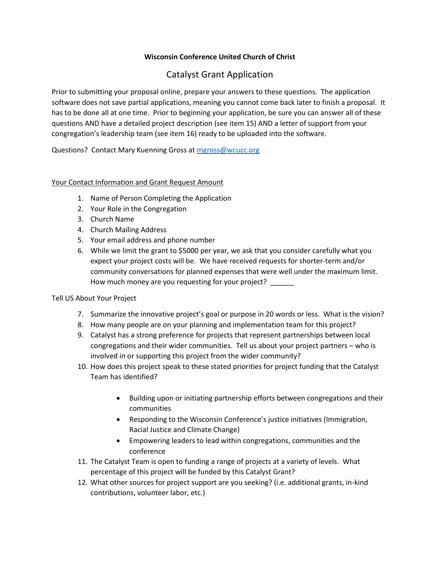## **Wisconsin Conference United Church of Christ**

# Catalyst Grant Application

Prior to submitting your proposal online, prepare your answers to these questions. The application software does not save partial applications, meaning you cannot come back later to finish a proposal. It has to be done all at one time. Prior to beginning your application, be sure you can answer all of these questions AND have a detailed project description (see item 15) AND a letter of support from your congregation's leadership team (see item 16) ready to be uploaded into the software.

Questions? Contact Mary Kuenning Gross at [mgross@wcucc.org](mailto:mgross@wcucc.org)

### Your Contact Information and Grant Request Amount

- 1. Name of Person Completing the Application
- 2. Your Role in the Congregation
- 3. Church Name
- 4. Church Mailing Address
- 5. Your email address and phone number
- 6. While we limit the grant to \$5000 per year, we ask that you consider carefully what you expect your project costs will be. We have received requests for shorter-term and/or community conversations for planned expenses that were well under the maximum limit. How much money are you requesting for your project?

#### Tell US About Your Project

- 7. Summarize the innovative project's goal or purpose in 20 words or less. What is the vision?
- 8. How many people are on your planning and implementation team for this project?
- 9. Catalyst has a strong preference for projects that represent partnerships between local congregations and their wider communities. Tell us about your project partners – who is involved in or supporting this project from the wider community?
- 10. How does this project speak to these stated priorities for project funding that the Catalyst Team has identified?
	- Building upon or initiating partnership efforts between congregations and their communities
	- Responding to the Wisconsin Conference's justice initiatives (Immigration, Racial Justice and Climate Change)
	- Empowering leaders to lead within congregations, communities and the conference
- 11. The Catalyst Team is open to funding a range of projects at a variety of levels. What percentage of this project will be funded by this Catalyst Grant?
- 12. What other sources for project support are you seeking? (i.e. additional grants, in-kind contributions, volunteer labor, etc.)